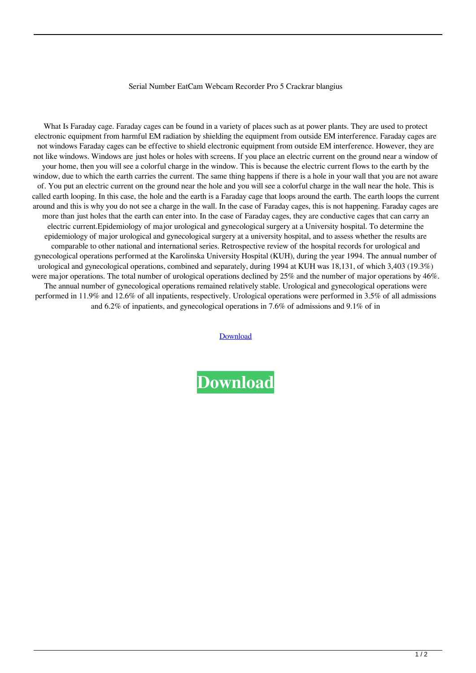## Serial Number EatCam Webcam Recorder Pro 5 Crackrar blangius

What Is Faraday cage. Faraday cages can be found in a variety of places such as at power plants. They are used to protect electronic equipment from harmful EM radiation by shielding the equipment from outside EM interference. Faraday cages are not windows Faraday cages can be effective to shield electronic equipment from outside EM interference. However, they are not like windows. Windows are just holes or holes with screens. If you place an electric current on the ground near a window of your home, then you will see a colorful charge in the window. This is because the electric current flows to the earth by the window, due to which the earth carries the current. The same thing happens if there is a hole in your wall that you are not aware of. You put an electric current on the ground near the hole and you will see a colorful charge in the wall near the hole. This is called earth looping. In this case, the hole and the earth is a Faraday cage that loops around the earth. The earth loops the current around and this is why you do not see a charge in the wall. In the case of Faraday cages, this is not happening. Faraday cages are more than just holes that the earth can enter into. In the case of Faraday cages, they are conductive cages that can carry an electric current.Epidemiology of major urological and gynecological surgery at a University hospital. To determine the epidemiology of major urological and gynecological surgery at a university hospital, and to assess whether the results are comparable to other national and international series. Retrospective review of the hospital records for urological and gynecological operations performed at the Karolinska University Hospital (KUH), during the year 1994. The annual number of urological and gynecological operations, combined and separately, during 1994 at KUH was 18,131, of which 3,403 (19.3%) were major operations. The total number of urological operations declined by 25% and the number of major operations by 46%. The annual number of gynecological operations remained relatively stable. Urological and gynecological operations were performed in 11.9% and 12.6% of all inpatients, respectively. Urological operations were performed in 3.5% of all admissions and 6.2% of inpatients, and gynecological operations in 7.6% of admissions and 9.1% of in

[Download](http://evacdir.com/U2VyaWFsIE51bWJlciBFYXRDYW0gV2ViY2FtIFJlY29yZGVyIFBybyA1IENyYWNrcmFyU2V/centerfolds/leter/dejected?ZG93bmxvYWR8dHA2TW5scWZId3hOalV5TkRZek1EVXdmSHd5TlRjMGZId29UU2tnY21WaFpDMWliRzluSUZ0R1lYTjBJRWRGVGww.umber.isquint)